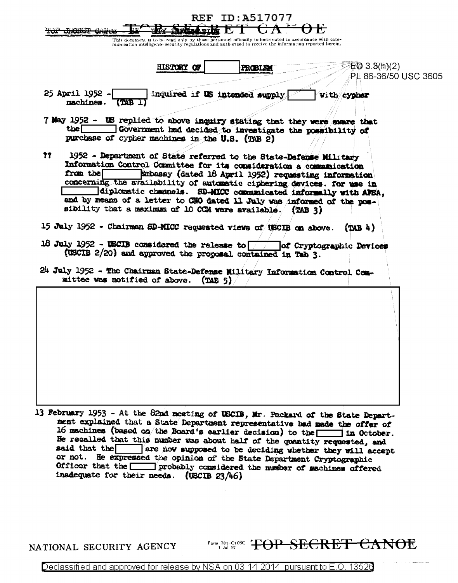|                                                                                                                                                                                                                                                                                                                                                                                                                                                                                                        |                                                                                                                                                                                                                                                                                                                                                                                                                                                                                                                                                                                                             | REF                                                                                                         | ID:A517077     |             |                      |
|--------------------------------------------------------------------------------------------------------------------------------------------------------------------------------------------------------------------------------------------------------------------------------------------------------------------------------------------------------------------------------------------------------------------------------------------------------------------------------------------------------|-------------------------------------------------------------------------------------------------------------------------------------------------------------------------------------------------------------------------------------------------------------------------------------------------------------------------------------------------------------------------------------------------------------------------------------------------------------------------------------------------------------------------------------------------------------------------------------------------------------|-------------------------------------------------------------------------------------------------------------|----------------|-------------|----------------------|
|                                                                                                                                                                                                                                                                                                                                                                                                                                                                                                        | <del>mans ama</del>                                                                                                                                                                                                                                                                                                                                                                                                                                                                                                                                                                                         | This document is to be read only by those personnel officially indoctrinated in accordance with com-        |                |             |                      |
| munication intelligence security regulations and authorized to receive the information reported berein.                                                                                                                                                                                                                                                                                                                                                                                                |                                                                                                                                                                                                                                                                                                                                                                                                                                                                                                                                                                                                             |                                                                                                             |                |             |                      |
|                                                                                                                                                                                                                                                                                                                                                                                                                                                                                                        |                                                                                                                                                                                                                                                                                                                                                                                                                                                                                                                                                                                                             | <b>HISTORY OF</b>                                                                                           | <b>FROBLEM</b> | E03.3(h)(2) | PL 86-36/50 USC 3605 |
|                                                                                                                                                                                                                                                                                                                                                                                                                                                                                                        | 25 April 1952 -<br>machines.<br>$(TAB_1)$                                                                                                                                                                                                                                                                                                                                                                                                                                                                                                                                                                   | inquired if US intended supply                                                                              |                | with cypher |                      |
|                                                                                                                                                                                                                                                                                                                                                                                                                                                                                                        | 7 May 1952 - US replied to above inquiry stating that they were exare that<br>the I                                                                                                                                                                                                                                                                                                                                                                                                                                                                                                                         | Government had decided to investigate the possibility of<br>purchase of cypher machines in the U.S. (TAB 2) |                |             |                      |
| ??<br>1952 - Department of State referred to the State-Defense Military<br>Information Control Committee for its consideration a communication<br>from the<br>Kabasay (dated 18 April 1952) requesting information<br>concerning the availability of automatic ciphering devices. for use in<br>diplomatic channels. SD-MICC communicated informally with AFSA,<br>and by means of a letter to CHO dated 11 July was informed of the pos-<br>sibility that a maximum of 10 CCM were available. (TAB 3) |                                                                                                                                                                                                                                                                                                                                                                                                                                                                                                                                                                                                             |                                                                                                             |                |             |                      |
| 15 July 1952 - Chairman SD-MICC requested views of USCIB on above.<br>$(TAB + )$                                                                                                                                                                                                                                                                                                                                                                                                                       |                                                                                                                                                                                                                                                                                                                                                                                                                                                                                                                                                                                                             |                                                                                                             |                |             |                      |
| 18 July 1952 - USCIB considered the release to $\boxed{\phantom{\text{12}}\phantom{\text{13}}\phantom{\text{14}}}$ of Cryptographic Devices<br>(USCIB 2/20) and approved the proposal contained in Tab 3.<br>24 July 1952 - The Chairman State-Defense Military Information Control Com-                                                                                                                                                                                                               |                                                                                                                                                                                                                                                                                                                                                                                                                                                                                                                                                                                                             |                                                                                                             |                |             |                      |
|                                                                                                                                                                                                                                                                                                                                                                                                                                                                                                        | mittee was notified of above.                                                                                                                                                                                                                                                                                                                                                                                                                                                                                                                                                                               | (TAB 5)                                                                                                     |                |             |                      |
|                                                                                                                                                                                                                                                                                                                                                                                                                                                                                                        |                                                                                                                                                                                                                                                                                                                                                                                                                                                                                                                                                                                                             |                                                                                                             |                |             |                      |
|                                                                                                                                                                                                                                                                                                                                                                                                                                                                                                        | 13 February 1953 - At the 82nd meeting of USCIB, Mr. Packard of the State Depart-<br>ment explained that a State Department representative had made the offer of<br>16 machines (based on the Board's earlier decision) to the $\boxed{\phantom{a}}$ in October.<br>He recalled that this number was about half of the quantity requested, and<br>said that the are now supposed to be deciding whether they will accept<br>or not. He expressed the opinion of the State Department Cryptographic<br>Officer that the worldered the music of machines offered<br>inadequate for their needs. (USCIB 23/46) |                                                                                                             |                |             |                      |

NATIONAL SECURITY AGENCY

Form, 781-C10SC TOP SECRET CANOE